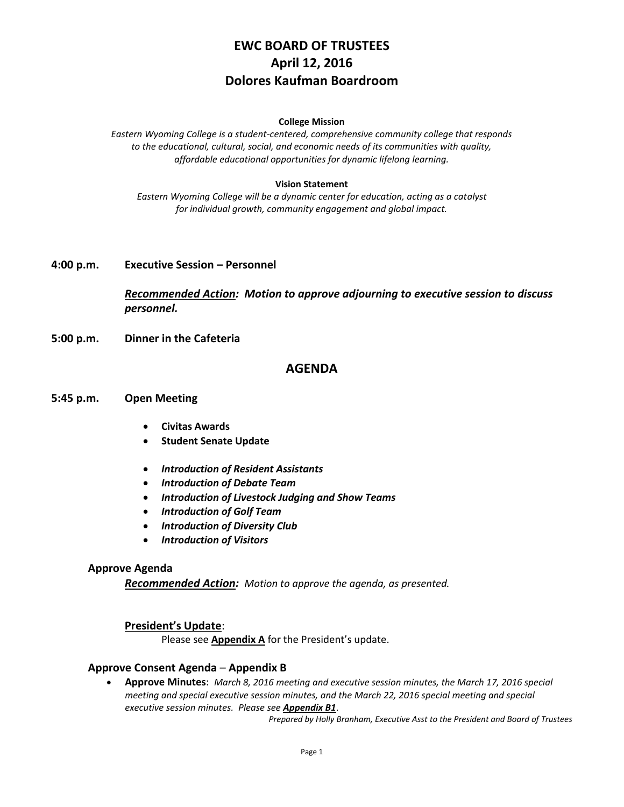# **EWC BOARD OF TRUSTEES April 12, 2016 Dolores Kaufman Boardroom**

#### **College Mission**

*Eastern Wyoming College is a student-centered, comprehensive community college that responds to the educational, cultural, social, and economic needs of its communities with quality, affordable educational opportunities for dynamic lifelong learning.*

#### **Vision Statement**

*Eastern Wyoming College will be a dynamic center for education, acting as a catalyst for individual growth, community engagement and global impact.*

#### **4:00 p.m. Executive Session – Personnel**

*Recommended Action: Motion to approve adjourning to executive session to discuss personnel.*

**5:00 p.m. Dinner in the Cafeteria**

### **AGENDA**

#### **5:45 p.m. Open Meeting**

- **Civitas Awards**
- **Student Senate Update**
- *Introduction of Resident Assistants*
- *Introduction of Debate Team*
- *Introduction of Livestock Judging and Show Teams*
- *Introduction of Golf Team*
- *Introduction of Diversity Club*
- *Introduction of Visitors*

#### **Approve Agenda**

*Recommended Action: Motion to approve the agenda, as presented.*

#### **President's Update**:

Please see **Appendix A** for the President's update.

#### **Approve Consent Agenda** – **Appendix B**

 **Approve Minutes**: *March 8, 2016 meeting and executive session minutes, the March 17, 2016 special meeting and special executive session minutes, and the March 22, 2016 special meeting and special executive session minutes. Please see Appendix B1*.

*Prepared by Holly Branham, Executive Asst to the President and Board of Trustees*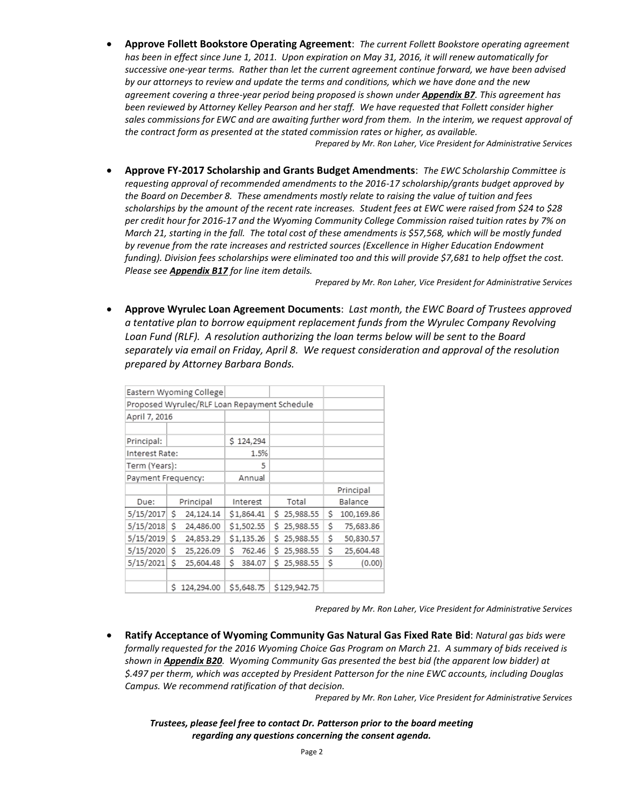**Approve Follett Bookstore Operating Agreement**: *The current Follett Bookstore operating agreement has been in effect since June 1, 2011. Upon expiration on May 31, 2016, it will renew automatically for successive one-year terms. Rather than let the current agreement continue forward, we have been advised by our attorneys to review and update the terms and conditions, which we have done and the new agreement covering a three-year period being proposed is shown under Appendix B7. This agreement has been reviewed by Attorney Kelley Pearson and her staff. We have requested that Follett consider higher sales commissions for EWC and are awaiting further word from them. In the interim, we request approval of the contract form as presented at the stated commission rates or higher, as available.*

*Prepared by Mr. Ron Laher, Vice President for Administrative Services*

 **Approve FY-2017 Scholarship and Grants Budget Amendments**: *The EWC Scholarship Committee is requesting approval of recommended amendments to the 2016-17 scholarship/grants budget approved by the Board on December 8. These amendments mostly relate to raising the value of tuition and fees scholarships by the amount of the recent rate increases. Student fees at EWC were raised from \$24 to \$28 per credit hour for 2016-17 and the Wyoming Community College Commission raised tuition rates by 7% on March 21, starting in the fall. The total cost of these amendments is \$57,568, which will be mostly funded by revenue from the rate increases and restricted sources (Excellence in Higher Education Endowment funding). Division fees scholarships were eliminated too and this will provide \$7,681 to help offset the cost. Please see Appendix B17 for line item details.*

*Prepared by Mr. Ron Laher, Vice President for Administrative Services*

 **Approve Wyrulec Loan Agreement Documents**: *Last month, the EWC Board of Trustees approved a tentative plan to borrow equipment replacement funds from the Wyrulec Company Revolving Loan Fund (RLF). A resolution authorizing the loan terms below will be sent to the Board separately via email on Friday, April 8. We request consideration and approval of the resolution prepared by Attorney Barbara Bonds.*

| Eastern Wyoming College                      |           |            |          |            |   |                  |   |            |
|----------------------------------------------|-----------|------------|----------|------------|---|------------------|---|------------|
| Proposed Wyrulec/RLF Loan Repayment Schedule |           |            |          |            |   |                  |   |            |
| April 7, 2016                                |           |            |          |            |   |                  |   |            |
|                                              |           |            |          |            |   |                  |   |            |
| Principal:                                   |           |            |          | \$124,294  |   |                  |   |            |
| Interest Rate:                               |           |            |          | 1.5%       |   |                  |   |            |
| Term (Years):                                |           |            |          | 5          |   |                  |   |            |
| Payment Frequency:                           |           |            |          | Annual     |   |                  |   |            |
|                                              |           |            |          |            |   |                  |   | Principal  |
| Due:                                         | Principal |            | Interest |            |   | Total<br>Balance |   |            |
| 5/15/2017                                    | Ś         | 24,124.14  |          | \$1,864.41 | s | 25,988.55        | Ś | 100,169.86 |
| 5/15/2018                                    | Ś         | 24,486.00  |          | \$1,502.55 | Ś | 25,988.55        | Ś | 75,683.86  |
| 5/15/2019                                    | Ś         | 24,853.29  |          | \$1,135.26 | Ś | 25,988.55        | Ŝ | 50,830.57  |
| 5/15/2020                                    | Ś         | 25,226.09  | Ś        | 762.46     | Ś | 25,988.55        | Ś | 25,604.48  |
| 5/15/2021                                    | Ś         | 25,604.48  | Ś        | 384.07     | Ŝ | 25,988.55        | Ś | (0.00)     |
|                                              |           |            |          |            |   |                  |   |            |
|                                              | Ś         | 124,294.00 |          | \$5,648.75 |   | \$129,942.75     |   |            |

*Prepared by Mr. Ron Laher, Vice President for Administrative Services*

 **Ratify Acceptance of Wyoming Community Gas Natural Gas Fixed Rate Bid**: *Natural gas bids were formally requested for the 2016 Wyoming Choice Gas Program on March 21. A summary of bids received is shown in Appendix B20. Wyoming Community Gas presented the best bid (the apparent low bidder) at \$.497 per therm, which was accepted by President Patterson for the nine EWC accounts, including Douglas Campus. We recommend ratification of that decision.*

*Prepared by Mr. Ron Laher, Vice President for Administrative Services*

*Trustees, please feel free to contact Dr. Patterson prior to the board meeting regarding any questions concerning the consent agenda.*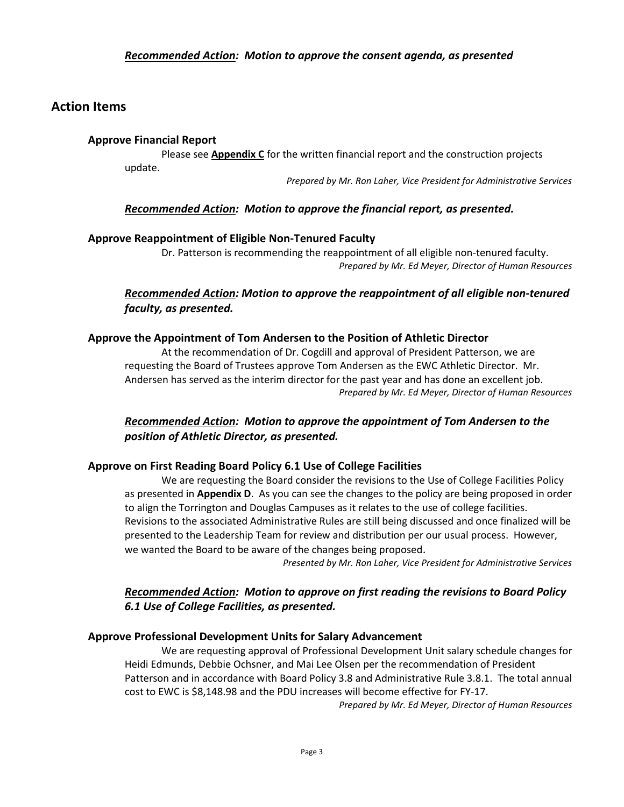### *Recommended Action: Motion to approve the consent agenda, as presented*

## **Action Items**

### **Approve Financial Report**

Please see **Appendix C** for the written financial report and the construction projects update.

*Prepared by Mr. Ron Laher, Vice President for Administrative Services*

### *Recommended Action: Motion to approve the financial report, as presented.*

### **Approve Reappointment of Eligible Non-Tenured Faculty**

Dr. Patterson is recommending the reappointment of all eligible non-tenured faculty. *Prepared by Mr. Ed Meyer, Director of Human Resources* 

## *Recommended Action: Motion to approve the reappointment of all eligible non-tenured faculty, as presented.*

### **Approve the Appointment of Tom Andersen to the Position of Athletic Director**

At the recommendation of Dr. Cogdill and approval of President Patterson, we are requesting the Board of Trustees approve Tom Andersen as the EWC Athletic Director. Mr. Andersen has served as the interim director for the past year and has done an excellent job. *Prepared by Mr. Ed Meyer, Director of Human Resources*

# *Recommended Action: Motion to approve the appointment of Tom Andersen to the position of Athletic Director, as presented.*

### **Approve on First Reading Board Policy 6.1 Use of College Facilities**

We are requesting the Board consider the revisions to the Use of College Facilities Policy as presented in **Appendix D**. As you can see the changes to the policy are being proposed in order to align the Torrington and Douglas Campuses as it relates to the use of college facilities. Revisions to the associated Administrative Rules are still being discussed and once finalized will be presented to the Leadership Team for review and distribution per our usual process. However, we wanted the Board to be aware of the changes being proposed.

*Presented by Mr. Ron Laher, Vice President for Administrative Services*

# *Recommended Action: Motion to approve on first reading the revisions to Board Policy 6.1 Use of College Facilities, as presented.*

### **Approve Professional Development Units for Salary Advancement**

We are requesting approval of Professional Development Unit salary schedule changes for Heidi Edmunds, Debbie Ochsner, and Mai Lee Olsen per the recommendation of President Patterson and in accordance with Board Policy 3.8 and Administrative Rule 3.8.1. The total annual cost to EWC is \$8,148.98 and the PDU increases will become effective for FY-17.

*Prepared by Mr. Ed Meyer, Director of Human Resources*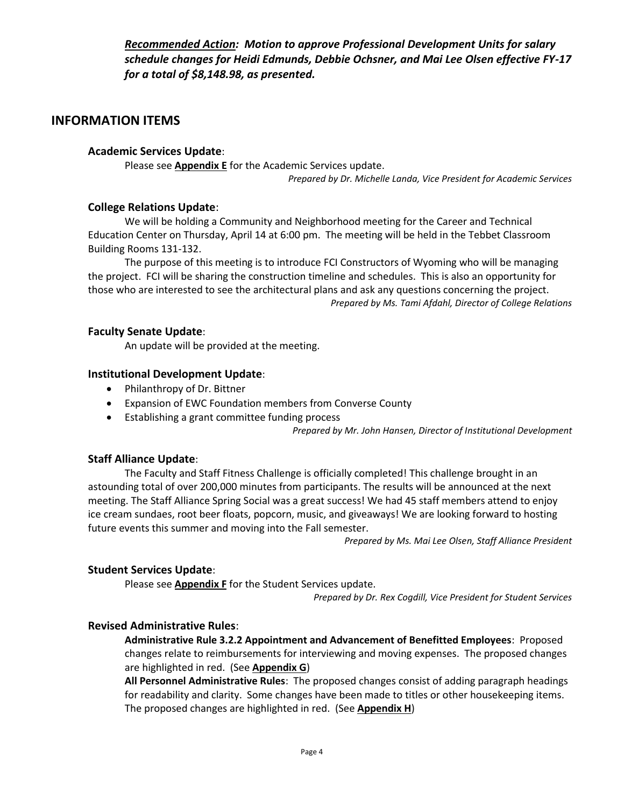*Recommended Action: Motion to approve Professional Development Units for salary schedule changes for Heidi Edmunds, Debbie Ochsner, and Mai Lee Olsen effective FY-17 for a total of \$8,148.98, as presented.*

# **INFORMATION ITEMS**

### **Academic Services Update**:

Please see **Appendix E** for the Academic Services update. *Prepared by Dr. Michelle Landa, Vice President for Academic Services*

### **College Relations Update**:

We will be holding a Community and Neighborhood meeting for the Career and Technical Education Center on Thursday, April 14 at 6:00 pm. The meeting will be held in the Tebbet Classroom Building Rooms 131-132.

The purpose of this meeting is to introduce FCI Constructors of Wyoming who will be managing the project. FCI will be sharing the construction timeline and schedules. This is also an opportunity for those who are interested to see the architectural plans and ask any questions concerning the project. *Prepared by Ms. Tami Afdahl, Director of College Relations*

### **Faculty Senate Update**:

An update will be provided at the meeting.

### **Institutional Development Update**:

- Philanthropy of Dr. Bittner
- Expansion of EWC Foundation members from Converse County
- Establishing a grant committee funding process

*Prepared by Mr. John Hansen, Director of Institutional Development*

### **Staff Alliance Update**:

The Faculty and Staff Fitness Challenge is officially completed! This challenge brought in an astounding total of over 200,000 minutes from participants. The results will be announced at the next meeting. The Staff Alliance Spring Social was a great success! We had 45 staff members attend to enjoy ice cream sundaes, root beer floats, popcorn, music, and giveaways! We are looking forward to hosting future events this summer and moving into the Fall semester.

*Prepared by Ms. Mai Lee Olsen, Staff Alliance President*

### **Student Services Update**:

Please see **Appendix F** for the Student Services update.

*Prepared by Dr. Rex Cogdill, Vice President for Student Services*

### **Revised Administrative Rules**:

**Administrative Rule 3.2.2 Appointment and Advancement of Benefitted Employees**: Proposed changes relate to reimbursements for interviewing and moving expenses. The proposed changes are highlighted in red. (See **Appendix G**)

**All Personnel Administrative Rules**: The proposed changes consist of adding paragraph headings for readability and clarity. Some changes have been made to titles or other housekeeping items. The proposed changes are highlighted in red. (See **Appendix H**)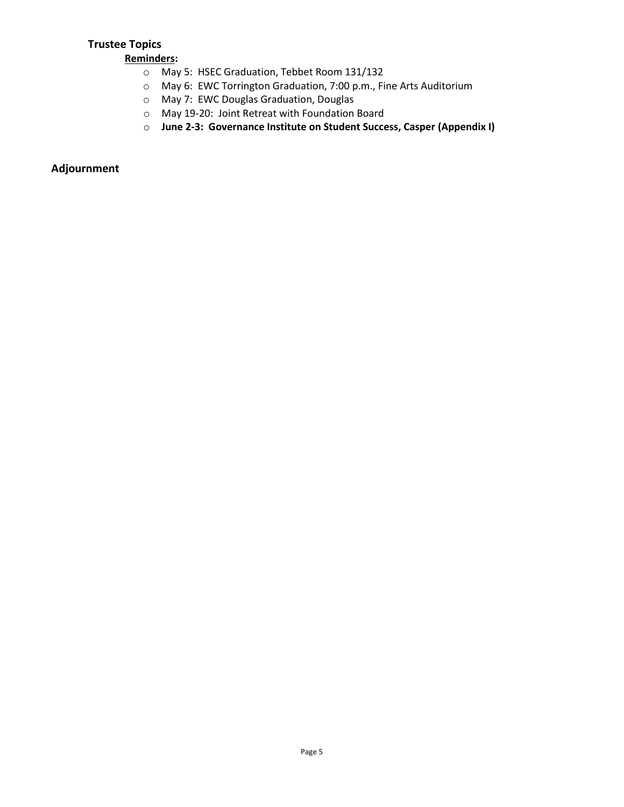# **Trustee Topics**

**Reminders:**

- o May 5: HSEC Graduation, Tebbet Room 131/132
- o May 6: EWC Torrington Graduation, 7:00 p.m., Fine Arts Auditorium
- o May 7: EWC Douglas Graduation, Douglas
- o May 19-20: Joint Retreat with Foundation Board
- o **June 2-3: Governance Institute on Student Success, Casper (Appendix I)**

# **Adjournment**